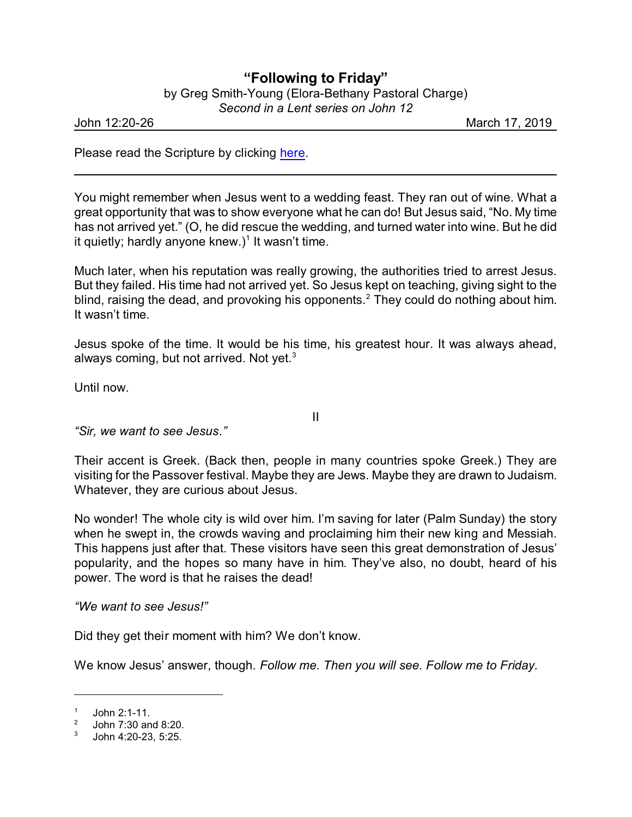## **"Following to Friday"**

| by Greg Smith-Young (Elora-Bethany Pastoral Charge) |                                    |  |
|-----------------------------------------------------|------------------------------------|--|
|                                                     | Second in a Lent series on John 12 |  |

John 12:20-26 March 17, 2019

Please read the Scripture by clicking [here](https://www.biblegateway.com/passage/?search=John+12%3A20-26&version=CEB).

You might remember when Jesus went to a wedding feast. They ran out of wine. What a great opportunity that was to show everyone what he can do! But Jesus said, "No. My time has not arrived yet." (O, he did rescue the wedding, and turned water into wine. But he did it quietly; hardly anyone knew.) $1$  It wasn't time.

Much later, when his reputation was really growing, the authorities tried to arrest Jesus. But they failed. His time had not arrived yet. So Jesus kept on teaching, giving sight to the blind, raising the dead, and provoking his opponents.<sup>2</sup> They could do nothing about him. It wasn't time.

Jesus spoke of the time. It would be his time, his greatest hour. It was always ahead, always coming, but not arrived. Not yet. $3$ 

Until now.

II

*"Sir, we want to see Jesus."*

Their accent is Greek. (Back then, people in many countries spoke Greek.) They are visiting for the Passover festival. Maybe they are Jews. Maybe they are drawn to Judaism. Whatever, they are curious about Jesus.

No wonder! The whole city is wild over him. I'm saving for later (Palm Sunday) the story when he swept in, the crowds waving and proclaiming him their new king and Messiah. This happens just after that. These visitors have seen this great demonstration of Jesus' popularity, and the hopes so many have in him. They've also, no doubt, heard of his power. The word is that he raises the dead!

*"We want to see Jesus!"*

Did they get their moment with him? We don't know.

We know Jesus' answer, though. *Follow me. Then you will see. Follow me to Friday.*

<sup>1</sup> John 2:1-11. 2

John 7:30 and 8:20.

<sup>3</sup> John 4:20-23, 5:25.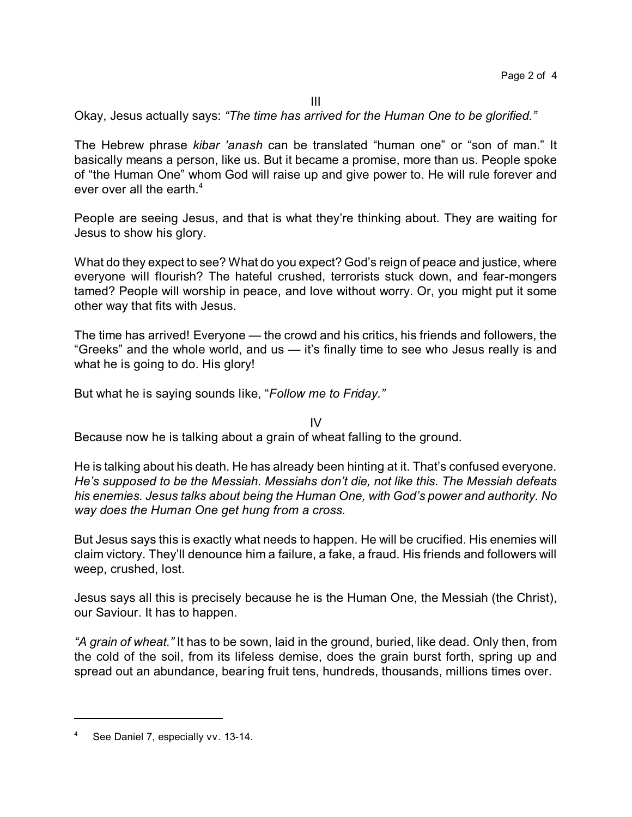Okay, Jesus actually says: *"The time has arrived for the Human One to be glorified."*

The Hebrew phrase *kibar 'anash* can be translated "human one" or "son of man." It basically means a person, like us. But it became a promise, more than us. People spoke of "the Human One" whom God will raise up and give power to. He will rule forever and ever over all the earth. $4$ 

People are seeing Jesus, and that is what they're thinking about. They are waiting for Jesus to show his glory.

What do they expect to see? What do you expect? God's reign of peace and justice, where everyone will flourish? The hateful crushed, terrorists stuck down, and fear-mongers tamed? People will worship in peace, and love without worry. Or, you might put it some other way that fits with Jesus.

The time has arrived! Everyone — the crowd and his critics, his friends and followers, the "Greeks" and the whole world, and us — it's finally time to see who Jesus really is and what he is going to do. His glory!

But what he is saying sounds like, "*Follow me to Friday."*

IV

Because now he is talking about a grain of wheat falling to the ground.

He is talking about his death. He has already been hinting at it. That's confused everyone. *He's supposed to be the Messiah. Messiahs don't die, not like this. The Messiah defeats his enemies. Jesus talks about being the Human One, with God's power and authority. No way does the Human One get hung from a cross.*

But Jesus says this is exactly what needs to happen. He will be crucified. His enemies will claim victory. They'll denounce him a failure, a fake, a fraud. His friends and followers will weep, crushed, lost.

Jesus says all this is precisely because he is the Human One, the Messiah (the Christ), our Saviour. It has to happen.

*"A grain of wheat."* It has to be sown, laid in the ground, buried, like dead. Only then, from the cold of the soil, from its lifeless demise, does the grain burst forth, spring up and spread out an abundance, bearing fruit tens, hundreds, thousands, millions times over.

See Daniel 7, especially vv. 13-14.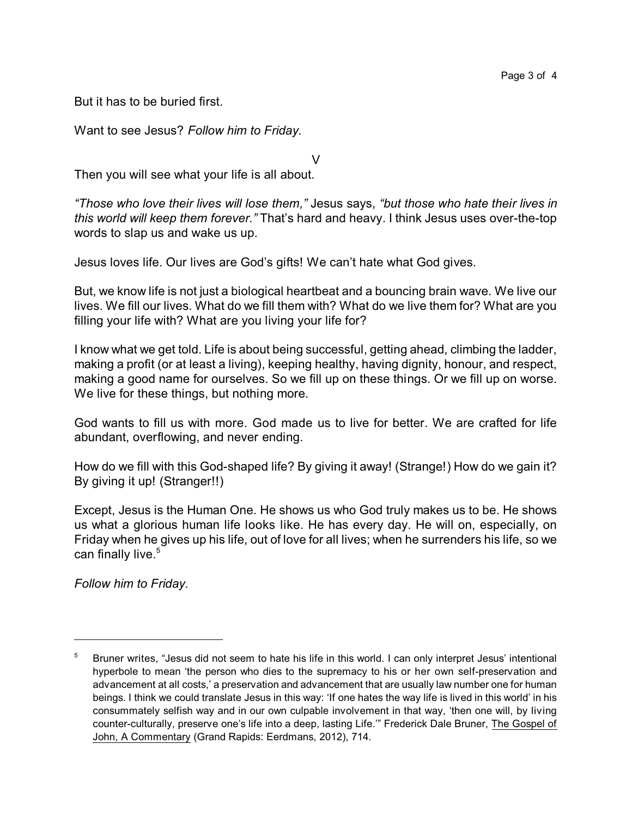But it has to be buried first.

Want to see Jesus? *Follow him to Friday.*

Then you will see what your life is all about.

*"Those who love their lives will lose them,"* Jesus says, *"but those who hate their lives in this world will keep them forever."* That's hard and heavy. I think Jesus uses over-the-top words to slap us and wake us up.

V

Jesus loves life. Our lives are God's gifts! We can't hate what God gives.

But, we know life is not just a biological heartbeat and a bouncing brain wave. We live our lives. We fill our lives. What do we fill them with? What do we live them for? What are you filling your life with? What are you living your life for?

I know what we get told. Life is about being successful, getting ahead, climbing the ladder, making a profit (or at least a living), keeping healthy, having dignity, honour, and respect, making a good name for ourselves. So we fill up on these things. Or we fill up on worse. We live for these things, but nothing more.

God wants to fill us with more. God made us to live for better. We are crafted for life abundant, overflowing, and never ending.

How do we fill with this God-shaped life? By giving it away! (Strange!) How do we gain it? By giving it up! (Stranger!!)

Except, Jesus is the Human One. He shows us who God truly makes us to be. He shows us what a glorious human life looks like. He has every day. He will on, especially, on Friday when he gives up his life, out of love for all lives; when he surrenders his life, so we can finally live.<sup>5</sup>

*Follow him to Friday.*

<sup>&</sup>lt;sup>5</sup> Bruner writes, "Jesus did not seem to hate his life in this world. I can only interpret Jesus' intentional hyperbole to mean 'the person who dies to the supremacy to his or her own self-preservation and advancement at all costs,' a preservation and advancement that are usually law number one for human beings. I think we could translate Jesus in this way: 'If one hates the way life is lived in this world' in his consummately selfish way and in our own culpable involvement in that way, 'then one will, by living counter-culturally, preserve one's life into a deep, lasting Life.'" Frederick Dale Bruner, The Gospel of John, A Commentary (Grand Rapids: Eerdmans, 2012), 714.